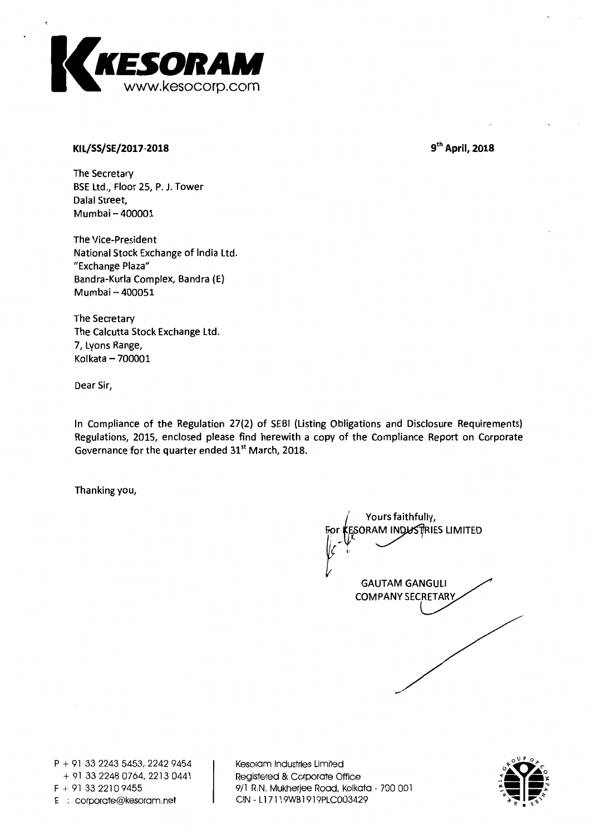

## **KI L/SS/SE/2017-2018**

 $9<sup>th</sup>$  April, 2018

The Secretary BSE Ltd., Floor 25, P. J. Tower Dalal Street, Mumbai — 400001

The Vice-President National Stock Exchange of India Ltd. "Exchange Plaza" Bandra-Kurla Complex, Bandra (E) Mumbai — 400051

The Secretary The Calcutta Stock Exchange Ltd. 7, Lyons Range, Kolkata — 700001

Dear Sir,

In Compliance of the Regulation 27(2) of SEBI (Listing Obligations and Disclosure Requirements) Regulations, 2015, enclosed please find herewith a copy of the Compliance Report on Corporate Governance for the quarter ended 31<sup>st</sup> March, 2018.

Thanking you,

Yours faithfully, ORAM INDUSTRIES LIMITED GAUTAM GANGULI COMPANY SECRETARY

P + 91 33 2243 5453, 2242 9454 + 91 33 2248 0764, 2213 0441  $F + 91$  33 2210 9455 E corporate@kesoram.net

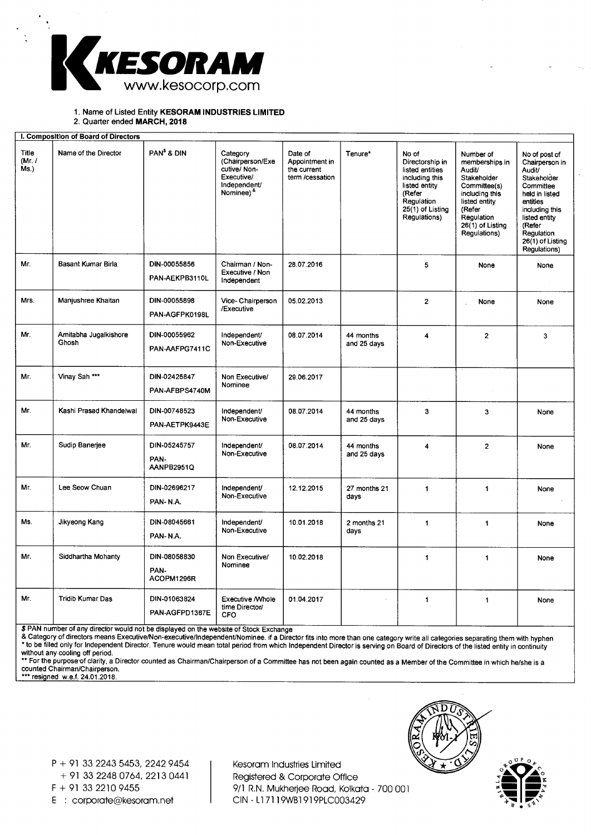

## 1. Name of Listed Entity **KESORAM INDUSTRIES LIMITED**

2. Quarter ended **MARCH, 2018** 

| I. Composition of Board of Directors |                                |                                    |                                                                                                        |                                                             |                          |                                                                                                                                            |                                                                                                                                                                     |                                                                                                                                                                                                           |
|--------------------------------------|--------------------------------|------------------------------------|--------------------------------------------------------------------------------------------------------|-------------------------------------------------------------|--------------------------|--------------------------------------------------------------------------------------------------------------------------------------------|---------------------------------------------------------------------------------------------------------------------------------------------------------------------|-----------------------------------------------------------------------------------------------------------------------------------------------------------------------------------------------------------|
| <b>Title</b><br>(Mr. /<br>Ms.        | Name of the Director           | PAN <sup>\$</sup> & DIN            | Category<br>(Chairperson/Exe<br>cutive/Non-<br>Executive/<br>Independent/<br>Nominee) <sup>&amp;</sup> | Date of<br>Appointment in<br>the current<br>term /cessation | Tenure*                  | No of<br>Directorship in<br>listed entities<br>including this<br>listed entity<br>(Refer<br>Regulation<br>25(1) of Listing<br>Regulations) | Number of<br>memberships in<br>Audit/<br>Stakeholder<br>Committee(s)<br>including this<br>listed entity<br>(Refer<br>Regulation<br>26(1) of Listing<br>Regulations) | No of post of<br>Chairperson in<br><b>Audit/</b><br>Stakeholder<br>Committee<br>held in listed<br>entities<br>including this<br>listed entity<br>(Refer<br>Regulation<br>26(1) of Listing<br>Regulations) |
| Mr.                                  | <b>Basant Kumar Birla</b>      | DIN-00055856<br>PAN-AEKPB3110L     | Chairman / Non-<br>Executive / Non<br>Independent                                                      | 28.07.2016                                                  |                          | 5                                                                                                                                          | None                                                                                                                                                                | None                                                                                                                                                                                                      |
| Mrs.                                 | Manjushree Khaitan             | DIN-00055898<br>PAN-AGFPK0198L     | Vice- Chairperson<br>/Executive                                                                        | 05.02.2013                                                  |                          | $\overline{2}$                                                                                                                             | None                                                                                                                                                                | None                                                                                                                                                                                                      |
| Mr.                                  | Amitabha Jugalkishore<br>Ghosh | DIN-00055962<br>PAN-AAFPG7411C     | Independent/<br>Non-Executive                                                                          | 08.07.2014                                                  | 44 months<br>and 25 days | 4                                                                                                                                          | $\overline{2}$                                                                                                                                                      | 3                                                                                                                                                                                                         |
| Mr.                                  | Vinay Sah ***                  | DIN-02425847<br>PAN-AFBPS4740M     | Non Executive/<br>Nominee                                                                              | 29.06.2017                                                  |                          |                                                                                                                                            |                                                                                                                                                                     |                                                                                                                                                                                                           |
| Mr.                                  | Kashi Prasad Khandelwal        | DIN-00748523<br>PAN-AETPK9443E     | Independent/<br>Non-Executive                                                                          | 08.07.2014                                                  | 44 months<br>and 25 days | 3                                                                                                                                          | 3                                                                                                                                                                   | None                                                                                                                                                                                                      |
| Mr.                                  | Sudip Banerjee                 | DIN-05245757<br>PAN-<br>AANPB2951Q | Independent/<br>Non-Executive                                                                          | 08.07.2014                                                  | 44 months<br>and 25 days | 4                                                                                                                                          | $\overline{2}$                                                                                                                                                      | None                                                                                                                                                                                                      |
| Mr.                                  | Lee Seow Chuan                 | DIN-02696217<br>PAN-N.A.           | Independent/<br>Non-Executive                                                                          | 12.12.2015                                                  | 27 months 21<br>days     | $\mathbf{1}$                                                                                                                               | $\mathbf{1}$                                                                                                                                                        | None                                                                                                                                                                                                      |
| Ms.                                  | Jikyeong Kang                  | DIN-08045661<br>PAN-N.A.           | Independent/<br>Non-Executive                                                                          | 10.01.2018                                                  | 2 months 21<br>days      | $\blacktriangleleft$                                                                                                                       | 1                                                                                                                                                                   | None                                                                                                                                                                                                      |
| Mr.                                  | Siddhartha Mohanty             | DIN-08058830<br>PAN-<br>ACOPM1296R | Non Executive/<br>Nominee                                                                              | 10.02.2018                                                  |                          | $\mathbf{1}$                                                                                                                               | $\mathbf{1}$                                                                                                                                                        | None                                                                                                                                                                                                      |
| Mr.                                  | <b>Tridib Kumar Das</b>        | DIN-01063824<br>PAN-AGFPD1367E     | <b>Executive / Whole</b><br>time Director/<br><b>CFO</b>                                               | 01.04.2017                                                  |                          | $\overline{1}$                                                                                                                             | $\mathbf{1}$                                                                                                                                                        | None                                                                                                                                                                                                      |

\$ PAN number of any director would not be displayed on the website of Stock Exchange

& Category of directors means Executive/Non-executive/Independent/Nominee. if a Director fits into more than one category write all categories separating them with hyphe \* to be filled only for Independent Director. Tenure would mean total period from which Independent Director is serving on Board of Directors of the listed entity in continuit<br>without any cooling off period.<br>\*\* For the pur

counted Chairman/Chairperson.

\*\*\* resigned w.e.f. 24.01.2018.



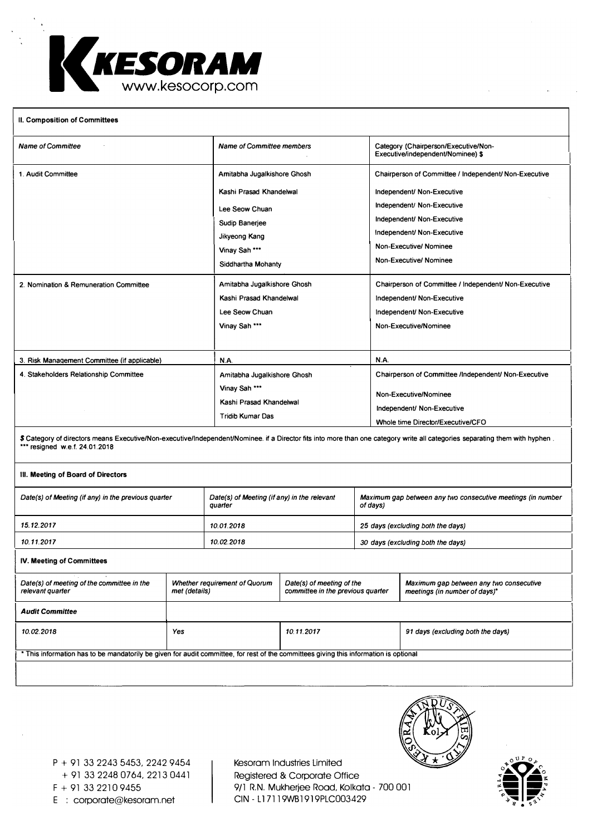

### **II. Composition of Committees**

| <b>Name of Committee</b>                                                                                                                                                                                       | <b>Name of Committee members</b>                                                                                                                                                                             | Category (Chairperson/Executive/Non-<br>Executive/independent/Nominee) \$                                                                                                                                                                                                                                                |  |  |  |
|----------------------------------------------------------------------------------------------------------------------------------------------------------------------------------------------------------------|--------------------------------------------------------------------------------------------------------------------------------------------------------------------------------------------------------------|--------------------------------------------------------------------------------------------------------------------------------------------------------------------------------------------------------------------------------------------------------------------------------------------------------------------------|--|--|--|
| 1. Audit Committee<br>2. Nomination & Remuneration Committee                                                                                                                                                   | Amitabha Jugalkishore Ghosh<br>Kashi Prasad Khandelwal<br>Lee Seow Chuan<br>Sudip Banerjee<br>Jikyeong Kang<br>Vinay Sah ***<br>Siddhartha Mohanty<br>Amitabha Jugalkishore Ghosh<br>Kashi Prasad Khandelwal | Chairperson of Committee / Independent/ Non-Executive<br>Independent/ Non-Executive<br>Independent/ Non-Executive<br>Independent/ Non-Executive<br>Independent/ Non-Executive<br>Non-Executive/ Nominee<br>Non-Executive/ Nominee<br>Chairperson of Committee / Independent/ Non-Executive<br>Independent/ Non-Executive |  |  |  |
|                                                                                                                                                                                                                | Lee Seow Chuan<br>Vinay Sah ***                                                                                                                                                                              | Independent/ Non-Executive<br>Non-Executive/Nominee                                                                                                                                                                                                                                                                      |  |  |  |
|                                                                                                                                                                                                                |                                                                                                                                                                                                              |                                                                                                                                                                                                                                                                                                                          |  |  |  |
| 3. Risk Management Committee (if applicable)                                                                                                                                                                   | N.A.                                                                                                                                                                                                         | <b>N.A.</b>                                                                                                                                                                                                                                                                                                              |  |  |  |
| 4. Stakeholders Relationship Committee                                                                                                                                                                         | Amitabha Jugalkishore Ghosh<br>Vinay Sah ***<br>Kashi Prasad Khandelwal<br><b>Tridib Kumar Das</b>                                                                                                           | Chairperson of Committee /Independent/ Non-Executive<br>Non-Executive/Nominee<br>Independent/ Non-Executive<br>Whole time Director/Executive/CFO                                                                                                                                                                         |  |  |  |
| \$ Category of directors means Executive/Non-executive/Independent/Nominee. if a Director fits into more than one category write all categories separating them with hyphen.<br>*** resigned w.e.f. 24.01.2018 |                                                                                                                                                                                                              |                                                                                                                                                                                                                                                                                                                          |  |  |  |
| III. Meeting of Board of Directors                                                                                                                                                                             |                                                                                                                                                                                                              |                                                                                                                                                                                                                                                                                                                          |  |  |  |
| Date(s) of Meeting (if any) in the previous quarter                                                                                                                                                            | Date(s) of Meeting (if any) in the relevant<br>quarter                                                                                                                                                       | Maximum gap between any two consecutive meetings (in number<br>of days)                                                                                                                                                                                                                                                  |  |  |  |
| 15.12.2017                                                                                                                                                                                                     | 10.01.2018                                                                                                                                                                                                   | 25 days (excluding both the days)                                                                                                                                                                                                                                                                                        |  |  |  |

*10.11.2017 10.02.2018 30 days (excluding both the days)* 

## IV. **Meeting of Committees**

| Date(s) of meeting of the committee in the<br>relevant quarter                                                                        | <b>Whether requirement of Quorum</b><br>met (details) | Date(s) of meeting of the<br>committee in the previous quarter | Maximum gap between any two consecutive<br>meetings (in number of days)* |  |
|---------------------------------------------------------------------------------------------------------------------------------------|-------------------------------------------------------|----------------------------------------------------------------|--------------------------------------------------------------------------|--|
| <b>Audit Committee</b>                                                                                                                |                                                       |                                                                |                                                                          |  |
| 10.02.2018                                                                                                                            | Yes                                                   | 10.11.2017                                                     | 91 days (excluding both the days)                                        |  |
|                                                                                                                                       |                                                       |                                                                |                                                                          |  |
| * This information has to be mandatorily be given for audit committee, for rest of the committees giving this information is optional |                                                       |                                                                |                                                                          |  |
|                                                                                                                                       |                                                       |                                                                |                                                                          |  |
|                                                                                                                                       |                                                       |                                                                |                                                                          |  |



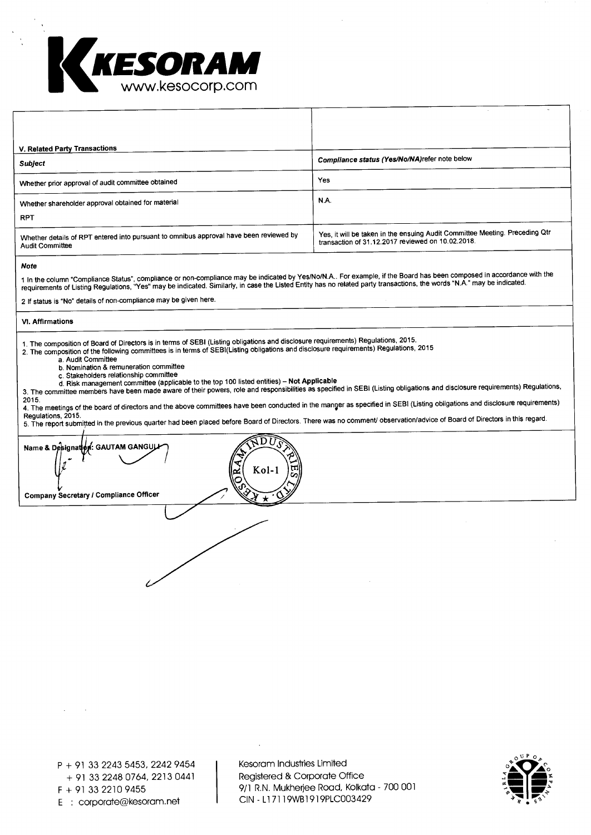

| V. Related Party Transactions                                                                                    |                                                                                                                                  |
|------------------------------------------------------------------------------------------------------------------|----------------------------------------------------------------------------------------------------------------------------------|
| <b>Subject</b>                                                                                                   | Compliance status (Yes/No/NA) refer note below                                                                                   |
| Whether prior approval of audit committee obtained                                                               | Yes                                                                                                                              |
| Whether shareholder approval obtained for material                                                               | N.A.                                                                                                                             |
| <b>RPT</b>                                                                                                       |                                                                                                                                  |
| Whether details of RPT entered into pursuant to omnibus approval have been reviewed by<br><b>Audit Committee</b> | Yes, it will be taken in the ensuing Audit Committee Meeting. Preceding Qtr<br>transaction of 31.12.2017 reviewed on 10.02.2018. |

#### **Note**

1 In the column "Compliance Status", compliance or non-compliance may be indicated by Yes/No/N.A.. For example, if the Board has been composed in accordance with the<br>requirements of Listing Requiations, "Yes" may be indica

2 If status is "No" details of non-compliance may be given here.

#### **VI. Affirmations**

**1.** The composition of Board of Directors is in terms of SEBI (Listing obligations and disclosure requirements) Regulations, 2015.

2. The composition of the following committees is in terms of SEBI(Listing obligations and disclosure requirements) Regulations, 2015

- a. Audit Committee
	- b. Nomination & remuneration committee
	-
	- c. Stakeholders relationship committee d. Risk management committee (applicable to the top 100 listed entities) **Not Applicable**

**,** 

3. The committee members have been made aware of their powers, role and responsibilities as specified in SEBI (Listing obligations and disclosure requirements) Regulations,

2015. 4. The meetings of the board of directors and the above committees have been conducted in the manger as specified in SEBI (Listing obligations and disclosure requirements)

Regulations, 2015.<br>5. The report submitted in the previous quarter had been placed before Board of Directors. There was no comment/ observation/advice of Board of Directors in this regard

 $\bar{\Omega} \, \mathrm{D} \, \mathrm{D}$ 

**''41 'IA**  Kol- $\tilde{\mathcal{C}}$  can be  $\mathcal{C}$ IP **h** 

**Company Secretary / Compliance Officer -)/ \* 4** 

**Name & Designation: GAUTAM GANGULI** 

**....** 

 $\ell$ 

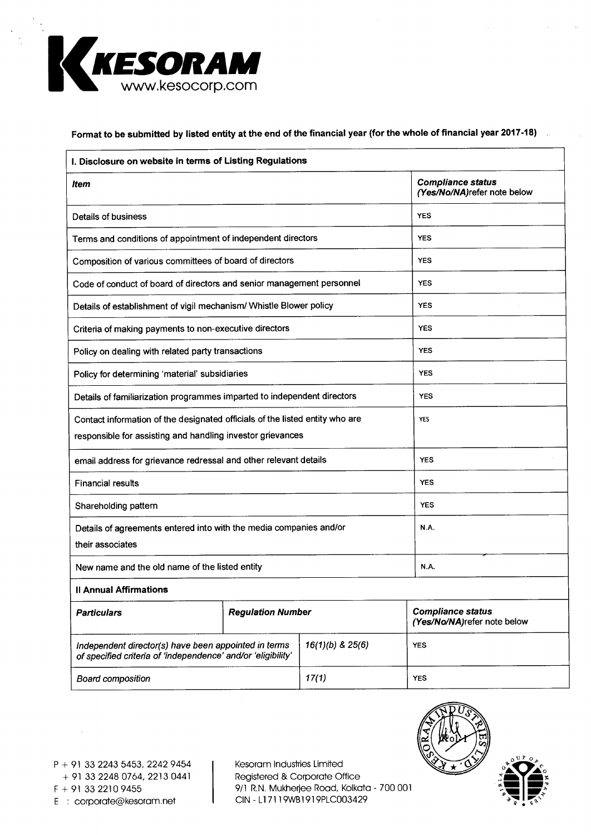

# **Format to be submitted by listed entity at the end of the financial year (for the whole of financial year 2017-18)**

| I. Disclosure on website in terms of Listing Regulations                                                                                   |                                                         |                      |                                                         |  |
|--------------------------------------------------------------------------------------------------------------------------------------------|---------------------------------------------------------|----------------------|---------------------------------------------------------|--|
| ltem                                                                                                                                       | <b>Compliance status</b><br>(Yes/No/NA)refer note below |                      |                                                         |  |
| Details of business                                                                                                                        | <b>YES</b>                                              |                      |                                                         |  |
| Terms and conditions of appointment of independent directors                                                                               | <b>YES</b>                                              |                      |                                                         |  |
| Composition of various committees of board of directors                                                                                    | <b>YES</b>                                              |                      |                                                         |  |
| Code of conduct of board of directors and senior management personnel                                                                      | <b>YES</b>                                              |                      |                                                         |  |
| Details of establishment of vigil mechanism/ Whistle Blower policy                                                                         |                                                         |                      | <b>YES</b>                                              |  |
| Criteria of making payments to non-executive directors                                                                                     |                                                         |                      | <b>YES</b>                                              |  |
| Policy on dealing with related party transactions                                                                                          |                                                         |                      | <b>YES</b>                                              |  |
| Policy for determining 'material' subsidiaries                                                                                             |                                                         |                      | <b>YES</b>                                              |  |
| Details of familiarization programmes imparted to independent directors                                                                    |                                                         |                      | <b>YES</b>                                              |  |
| Contact information of the designated officials of the listed entity who are<br>responsible for assisting and handling investor grievances |                                                         |                      | YES                                                     |  |
| email address for grievance redressal and other relevant details                                                                           |                                                         |                      | <b>YES</b>                                              |  |
| <b>Financial results</b>                                                                                                                   | <b>YES</b>                                              |                      |                                                         |  |
| Shareholding pattern                                                                                                                       | <b>YES</b>                                              |                      |                                                         |  |
| Details of agreements entered into with the media companies and/or<br>their associates                                                     | N.A.                                                    |                      |                                                         |  |
| New name and the old name of the listed entity                                                                                             |                                                         |                      | <b>N.A.</b>                                             |  |
| <b>Il Annual Affirmations</b>                                                                                                              |                                                         |                      |                                                         |  |
| <b>Particulars</b>                                                                                                                         | <b>Regulation Number</b>                                |                      | <b>Compliance status</b><br>(Yes/No/NA)refer note below |  |
| Independent director(s) have been appointed in terms<br>of specified criteria of 'independence' and/or 'eligibility'                       |                                                         | $16(1)(b)$ & $25(6)$ | <b>YES</b>                                              |  |
| <b>Board composition</b>                                                                                                                   |                                                         | 17(1)                | <b>YES</b>                                              |  |

P + 91 33 2243 5453, 2242 9454 + 91 33 2248 0764, 2213 0441 E : corporate@kesoram.net

Kesoram Industries Limited Registered & Corporate Office  $F + 91 33 2210 9455$ <br>  $F + 91 33 2210 9455$ <br>  $C/N - L17119WB1919PLC003429$ <br>  $F + 91 33 2210 9455$ 

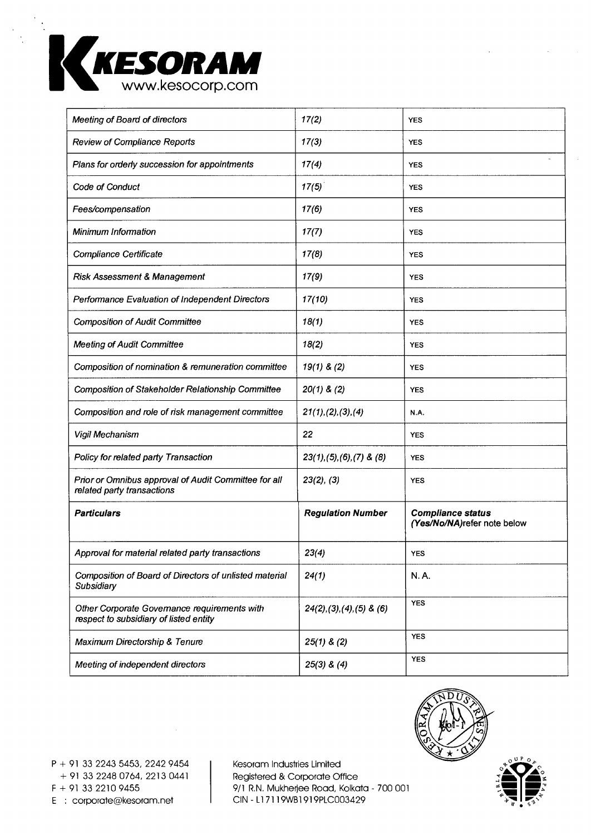

| Meeting of Board of directors                                                          | 17(2)                          | <b>YES</b>                                              |
|----------------------------------------------------------------------------------------|--------------------------------|---------------------------------------------------------|
| <b>Review of Compliance Reports</b>                                                    | 17(3)                          | <b>YES</b>                                              |
| Plans for orderly succession for appointments                                          | 17(4)                          | <b>YES</b>                                              |
| Code of Conduct                                                                        | 17(5)                          | <b>YES</b>                                              |
| Fees/compensation                                                                      | 17(6)                          | <b>YES</b>                                              |
| <b>Minimum Information</b>                                                             | 17(7)                          | <b>YES</b>                                              |
| Compliance Certificate                                                                 | 17(8)                          | <b>YES</b>                                              |
| <b>Risk Assessment &amp; Management</b>                                                | 17(9)                          | YES                                                     |
| Performance Evaluation of Independent Directors                                        | 17(10)                         | <b>YES</b>                                              |
| <b>Composition of Audit Committee</b>                                                  | 18(1)                          | <b>YES</b>                                              |
| <b>Meeting of Audit Committee</b>                                                      | 18(2)                          | <b>YES</b>                                              |
| Composition of nomination & remuneration committee                                     | $19(1)$ & (2)                  | <b>YES</b>                                              |
| <b>Composition of Stakeholder Relationship Committee</b>                               | $20(1)$ & (2)                  | <b>YES</b>                                              |
| Composition and role of risk management committee                                      | 21(1), (2), (3), (4)           | N.A.                                                    |
| Vigil Mechanism                                                                        | 22                             | <b>YES</b>                                              |
| Policy for related party Transaction                                                   | $23(1), (5), (6), (7)$ & $(8)$ | <b>YES</b>                                              |
| Prior or Omnibus approval of Audit Committee for all<br>related party transactions     | 23(2), (3)                     | <b>YES</b>                                              |
| <b>Particulars</b>                                                                     | <b>Regulation Number</b>       | <b>Compliance status</b><br>(Yes/No/NA)refer note below |
| Approval for material related party transactions                                       | 23(4)                          | <b>YES</b>                                              |
| Composition of Board of Directors of unlisted material<br>Subsidiary                   | 24(1)                          | N.A.                                                    |
| Other Corporate Governance requirements with<br>respect to subsidiary of listed entity | $24(2), (3), (4), (5)$ & $(6)$ | <b>YES</b>                                              |
| Maximum Directorship & Tenure                                                          | $25(1)$ & (2)                  | <b>YES</b>                                              |
| Meeting of independent directors                                                       | $25(3)$ & $(4)$                | <b>YES</b>                                              |



 $\circ$ <sup>UP</sup>  $\circ$ <sub>b</sub>

**g mum - ,** 

P + 91 33 2243 5453, 2242 9454 + 91 33 2248 0764, 2213 0441 E : corporate@kesoram.net

Kesoram Industries Limited Registered & Corporate Office  $F + 91 33 2210 9455$ <br>  $F + 91 33 2210 9455$ <br>  $CIN - L17119WB1919PLC003429$ <br>  $CIN - L17119WB1919PLC003429$